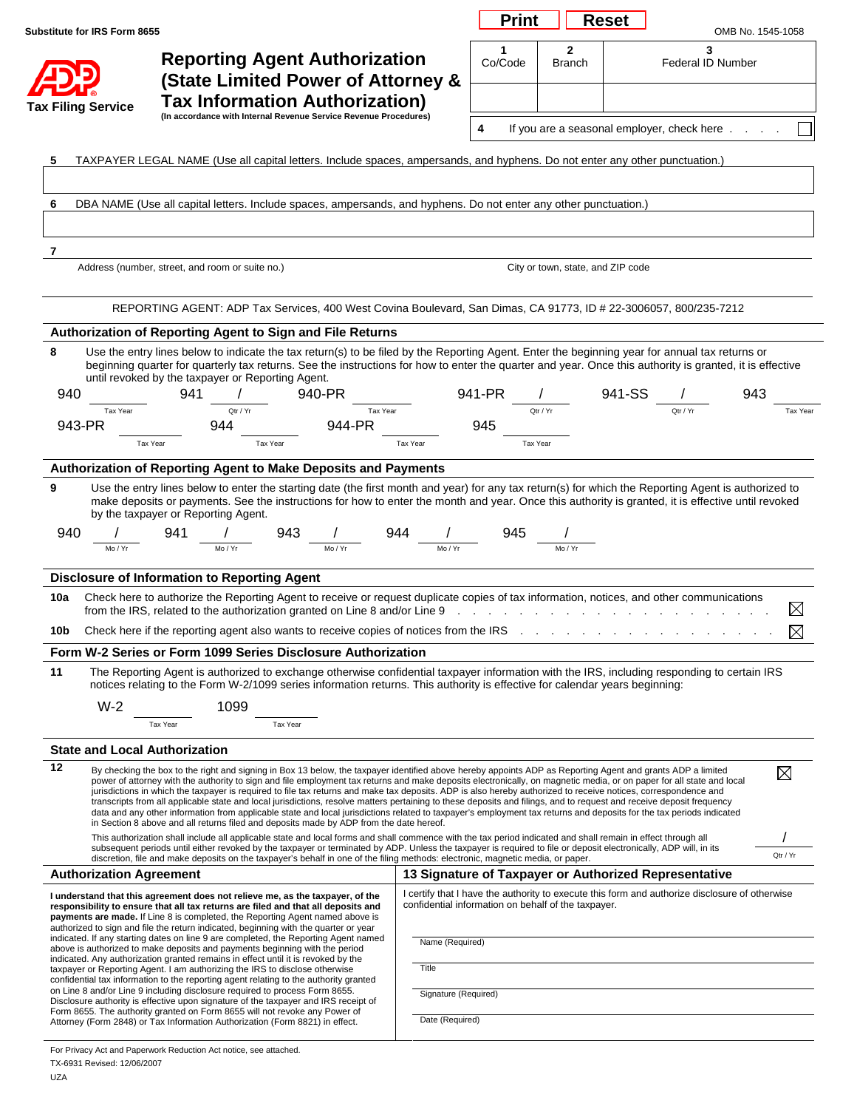| Substitute for IRS Form 8655                                                                                  |                                                                                                                                                                                                                                                                                                                                                                                                                                                                                                                                                                                                                                                                                                                                                                                                                                                          |                                                     | <b>Print</b> |                                   | <b>Reset</b> |                                                                                                | OMB No. 1545-1058 |
|---------------------------------------------------------------------------------------------------------------|----------------------------------------------------------------------------------------------------------------------------------------------------------------------------------------------------------------------------------------------------------------------------------------------------------------------------------------------------------------------------------------------------------------------------------------------------------------------------------------------------------------------------------------------------------------------------------------------------------------------------------------------------------------------------------------------------------------------------------------------------------------------------------------------------------------------------------------------------------|-----------------------------------------------------|--------------|-----------------------------------|--------------|------------------------------------------------------------------------------------------------|-------------------|
|                                                                                                               | <b>Reporting Agent Authorization</b><br>(State Limited Power of Attorney &                                                                                                                                                                                                                                                                                                                                                                                                                                                                                                                                                                                                                                                                                                                                                                               |                                                     | 1<br>Co/Code | $\mathbf{2}$<br><b>Branch</b>     |              | 3<br>Federal ID Number                                                                         |                   |
| <b>Tax Filing Service</b>                                                                                     | <b>Tax Information Authorization)</b><br>(In accordance with Internal Revenue Service Revenue Procedures)                                                                                                                                                                                                                                                                                                                                                                                                                                                                                                                                                                                                                                                                                                                                                |                                                     | 4            |                                   |              | If you are a seasonal employer, check here                                                     |                   |
| 5                                                                                                             | TAXPAYER LEGAL NAME (Use all capital letters. Include spaces, ampersands, and hyphens. Do not enter any other punctuation.)                                                                                                                                                                                                                                                                                                                                                                                                                                                                                                                                                                                                                                                                                                                              |                                                     |              |                                   |              |                                                                                                |                   |
|                                                                                                               |                                                                                                                                                                                                                                                                                                                                                                                                                                                                                                                                                                                                                                                                                                                                                                                                                                                          |                                                     |              |                                   |              |                                                                                                |                   |
| 6                                                                                                             | DBA NAME (Use all capital letters. Include spaces, ampersands, and hyphens. Do not enter any other punctuation.)                                                                                                                                                                                                                                                                                                                                                                                                                                                                                                                                                                                                                                                                                                                                         |                                                     |              |                                   |              |                                                                                                |                   |
|                                                                                                               |                                                                                                                                                                                                                                                                                                                                                                                                                                                                                                                                                                                                                                                                                                                                                                                                                                                          |                                                     |              |                                   |              |                                                                                                |                   |
| 7                                                                                                             |                                                                                                                                                                                                                                                                                                                                                                                                                                                                                                                                                                                                                                                                                                                                                                                                                                                          |                                                     |              |                                   |              |                                                                                                |                   |
|                                                                                                               | Address (number, street, and room or suite no.)                                                                                                                                                                                                                                                                                                                                                                                                                                                                                                                                                                                                                                                                                                                                                                                                          |                                                     |              | City or town, state, and ZIP code |              |                                                                                                |                   |
|                                                                                                               | REPORTING AGENT: ADP Tax Services, 400 West Covina Boulevard, San Dimas, CA 91773, ID # 22-3006057, 800/235-7212                                                                                                                                                                                                                                                                                                                                                                                                                                                                                                                                                                                                                                                                                                                                         |                                                     |              |                                   |              |                                                                                                |                   |
|                                                                                                               | Authorization of Reporting Agent to Sign and File Returns                                                                                                                                                                                                                                                                                                                                                                                                                                                                                                                                                                                                                                                                                                                                                                                                |                                                     |              |                                   |              |                                                                                                |                   |
| 8                                                                                                             | Use the entry lines below to indicate the tax return(s) to be filed by the Reporting Agent. Enter the beginning year for annual tax returns or                                                                                                                                                                                                                                                                                                                                                                                                                                                                                                                                                                                                                                                                                                           |                                                     |              |                                   |              |                                                                                                |                   |
|                                                                                                               | beginning quarter for quarterly tax returns. See the instructions for how to enter the quarter and year. Once this authority is granted, it is effective<br>until revoked by the taxpayer or Reporting Agent.                                                                                                                                                                                                                                                                                                                                                                                                                                                                                                                                                                                                                                            |                                                     |              |                                   |              |                                                                                                |                   |
| 940                                                                                                           | 941<br>940-PR                                                                                                                                                                                                                                                                                                                                                                                                                                                                                                                                                                                                                                                                                                                                                                                                                                            |                                                     | 941-PR       |                                   | 941-SS       |                                                                                                | 943               |
| Tax Year<br>943-PR                                                                                            | Qtr / Yr<br>Tax Year<br>944<br>944-PR                                                                                                                                                                                                                                                                                                                                                                                                                                                                                                                                                                                                                                                                                                                                                                                                                    |                                                     | 945          | Qtr / Yr                          |              | Qtr / Yr                                                                                       |                   |
|                                                                                                               | Tax Year<br>Tax Year                                                                                                                                                                                                                                                                                                                                                                                                                                                                                                                                                                                                                                                                                                                                                                                                                                     | Tax Year                                            |              | Tax Year                          |              |                                                                                                |                   |
| Mo / Yr                                                                                                       | Use the entry lines below to enter the starting date (the first month and year) for any tax return(s) for which the Reporting Agent is authorized to<br>make deposits or payments. See the instructions for how to enter the month and year. Once this authority is granted, it is effective until revoked<br>by the taxpayer or Reporting Agent.<br>941<br>943<br>Mo / Yr                                                                                                                                                                                                                                                                                                                                                                                                                                                                               | 944                                                 | 945          |                                   |              |                                                                                                |                   |
| 9<br>940                                                                                                      | <b>Disclosure of Information to Reporting Agent</b>                                                                                                                                                                                                                                                                                                                                                                                                                                                                                                                                                                                                                                                                                                                                                                                                      |                                                     |              |                                   |              |                                                                                                |                   |
|                                                                                                               | Check here to authorize the Reporting Agent to receive or request duplicate copies of tax information, notices, and other communications<br>from the IRS, related to the authorization granted on Line 8 and/or Line 9                                                                                                                                                                                                                                                                                                                                                                                                                                                                                                                                                                                                                                   |                                                     |              |                                   |              |                                                                                                |                   |
|                                                                                                               |                                                                                                                                                                                                                                                                                                                                                                                                                                                                                                                                                                                                                                                                                                                                                                                                                                                          |                                                     |              |                                   |              |                                                                                                |                   |
|                                                                                                               | Form W-2 Series or Form 1099 Series Disclosure Authorization                                                                                                                                                                                                                                                                                                                                                                                                                                                                                                                                                                                                                                                                                                                                                                                             |                                                     |              |                                   |              |                                                                                                |                   |
| $W-2$                                                                                                         | The Reporting Agent is authorized to exchange otherwise confidential taxpayer information with the IRS, including responding to certain IRS<br>notices relating to the Form W-2/1099 series information returns. This authority is effective for calendar years beginning:<br>1099                                                                                                                                                                                                                                                                                                                                                                                                                                                                                                                                                                       |                                                     |              |                                   |              |                                                                                                |                   |
|                                                                                                               | Tax Year<br>Tax Year                                                                                                                                                                                                                                                                                                                                                                                                                                                                                                                                                                                                                                                                                                                                                                                                                                     |                                                     |              |                                   |              |                                                                                                |                   |
|                                                                                                               |                                                                                                                                                                                                                                                                                                                                                                                                                                                                                                                                                                                                                                                                                                                                                                                                                                                          |                                                     |              |                                   |              |                                                                                                |                   |
|                                                                                                               | By checking the box to the right and signing in Box 13 below, the taxpayer identified above hereby appoints ADP as Reporting Agent and grants ADP a limited<br>power of attorney with the authority to sign and file employment tax returns and make deposits electronically, on magnetic media, or on paper for all state and local<br>jurisdictions in which the taxpayer is required to file tax returns and make tax deposits. ADP is also hereby authorized to receive notices, correspondence and<br>transcripts from all applicable state and local jurisdictions, resolve matters pertaining to these deposits and filings, and to request and receive deposit frequency<br>data and any other information from applicable state and local jurisdictions related to taxpayer's employment tax returns and deposits for the tax periods indicated |                                                     |              |                                   |              |                                                                                                | $\boxtimes$       |
|                                                                                                               | in Section 8 above and all returns filed and deposits made by ADP from the date hereof.<br>This authorization shall include all applicable state and local forms and shall commence with the tax period indicated and shall remain in effect through all<br>subsequent periods until either revoked by the taxpayer or terminated by ADP. Unless the taxpayer is required to file or deposit electronically, ADP will, in its<br>discretion, file and make deposits on the taxpayer's behalf in one of the filing methods: electronic, magnetic media, or paper.                                                                                                                                                                                                                                                                                         |                                                     |              |                                   |              |                                                                                                | Qtr / Yr          |
|                                                                                                               |                                                                                                                                                                                                                                                                                                                                                                                                                                                                                                                                                                                                                                                                                                                                                                                                                                                          |                                                     |              |                                   |              | 13 Signature of Taxpayer or Authorized Representative                                          |                   |
|                                                                                                               | I understand that this agreement does not relieve me, as the taxpayer, of the<br>responsibility to ensure that all tax returns are filed and that all deposits and<br>payments are made. If Line 8 is completed, the Reporting Agent named above is<br>authorized to sign and file the return indicated, beginning with the quarter or year                                                                                                                                                                                                                                                                                                                                                                                                                                                                                                              | confidential information on behalf of the taxpayer. |              |                                   |              | I certify that I have the authority to execute this form and authorize disclosure of otherwise |                   |
|                                                                                                               | indicated. If any starting dates on line 9 are completed, the Reporting Agent named<br>above is authorized to make deposits and payments beginning with the period                                                                                                                                                                                                                                                                                                                                                                                                                                                                                                                                                                                                                                                                                       | Name (Required)                                     |              |                                   |              |                                                                                                |                   |
|                                                                                                               | indicated. Any authorization granted remains in effect until it is revoked by the<br>taxpayer or Reporting Agent. I am authorizing the IRS to disclose otherwise<br>confidential tax information to the reporting agent relating to the authority granted                                                                                                                                                                                                                                                                                                                                                                                                                                                                                                                                                                                                | Title                                               |              |                                   |              |                                                                                                |                   |
| 10a<br>10b<br>11<br><b>State and Local Authorization</b><br>$\overline{12}$<br><b>Authorization Agreement</b> | on Line 8 and/or Line 9 including disclosure required to process Form 8655.<br>Disclosure authority is effective upon signature of the taxpayer and IRS receipt of<br>Form 8655. The authority granted on Form 8655 will not revoke any Power of                                                                                                                                                                                                                                                                                                                                                                                                                                                                                                                                                                                                         | Signature (Required)                                |              |                                   |              |                                                                                                |                   |

L.

For Privacy Act and Paperwork Reduction Act notice, see attached. TX-6931 Revised: 12/06/2007 UZA